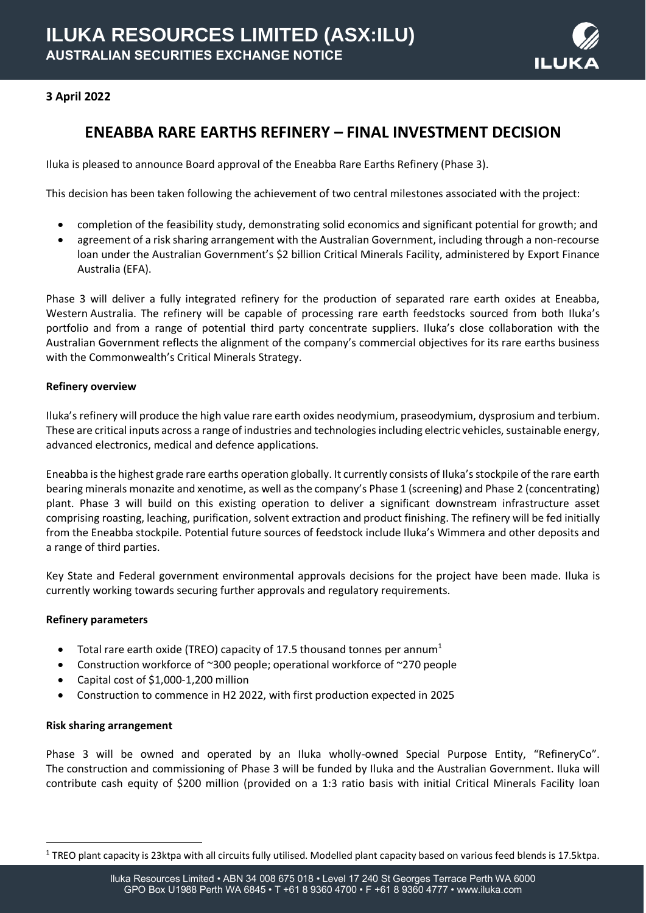

## **3 April 2022**

# **ENEABBA RARE EARTHS REFINERY – FINAL INVESTMENT DECISION**

Iluka is pleased to announce Board approval of the Eneabba Rare Earths Refinery (Phase 3).

This decision has been taken following the achievement of two central milestones associated with the project:

- completion of the feasibility study, demonstrating solid economics and significant potential for growth; and
- agreement of a risk sharing arrangement with the Australian Government, including through a non-recourse loan under the Australian Government's \$2 billion Critical Minerals Facility, administered by Export Finance Australia (EFA).

Phase 3 will deliver a fully integrated refinery for the production of separated rare earth oxides at Eneabba, Western Australia. The refinery will be capable of processing rare earth feedstocks sourced from both Iluka's portfolio and from a range of potential third party concentrate suppliers. Iluka's close collaboration with the Australian Government reflects the alignment of the company's commercial objectives for its rare earths business with the Commonwealth's Critical Minerals Strategy.

#### **Refinery overview**

Iluka's refinery will produce the high value rare earth oxides neodymium, praseodymium, dysprosium and terbium. These are critical inputs across a range of industries and technologiesincluding electric vehicles, sustainable energy, advanced electronics, medical and defence applications.

Eneabba is the highest grade rare earths operation globally. It currently consists of Iluka's stockpile of the rare earth bearing minerals monazite and xenotime, as well as the company's Phase 1 (screening) and Phase 2 (concentrating) plant. Phase 3 will build on this existing operation to deliver a significant downstream infrastructure asset comprising roasting, leaching, purification, solvent extraction and product finishing. The refinery will be fed initially from the Eneabba stockpile. Potential future sources of feedstock include Iluka's Wimmera and other deposits and a range of third parties.

Key State and Federal government environmental approvals decisions for the project have been made. Iluka is currently working towards securing further approvals and regulatory requirements.

#### **Refinery parameters**

- Total rare earth oxide (TREO) capacity of 17.5 thousand tonnes per annum<sup>1</sup>
- Construction workforce of ~300 people; operational workforce of ~270 people
- Capital cost of \$1,000-1,200 million
- Construction to commence in H2 2022, with first production expected in 2025

#### **Risk sharing arrangement**

Phase 3 will be owned and operated by an Iluka wholly-owned Special Purpose Entity, "RefineryCo". The construction and commissioning of Phase 3 will be funded by Iluka and the Australian Government. Iluka will contribute cash equity of \$200 million (provided on a 1:3 ratio basis with initial Critical Minerals Facility loan

 $1$  TREO plant capacity is 23ktpa with all circuits fully utilised. Modelled plant capacity based on various feed blends is 17.5ktpa.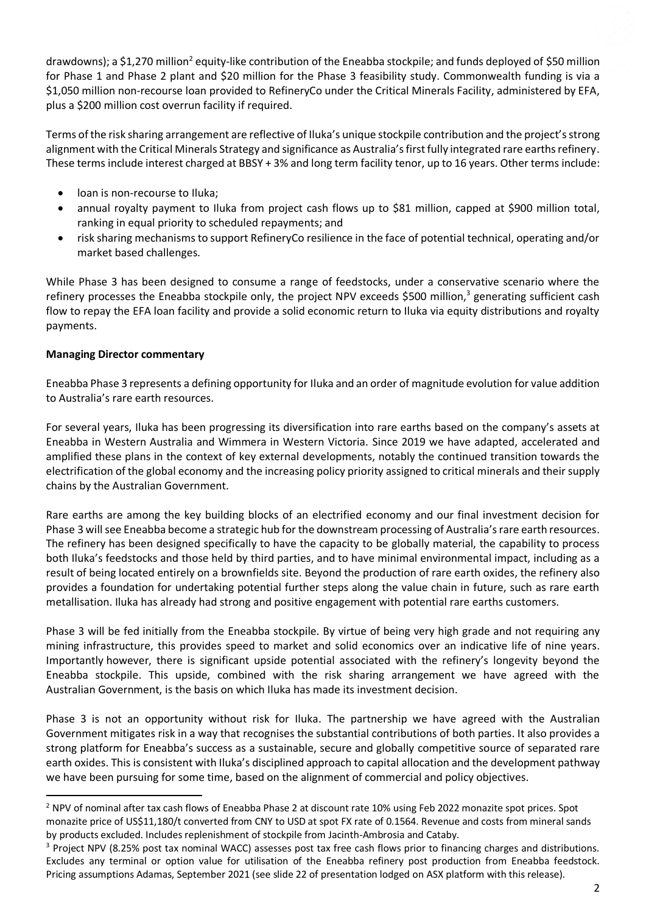drawdowns); a \$1,270 million<sup>2</sup> equity-like contribution of the Eneabba stockpile; and funds deployed of \$50 million for Phase 1 and Phase 2 plant and \$20 million for the Phase 3 feasibility study. Commonwealth funding is via a \$1,050 million non-recourse loan provided to RefineryCo under the Critical Minerals Facility, administered by EFA, plus a \$200 million cost overrun facility if required.

Terms of the risk sharing arrangement are reflective of Iluka's unique stockpile contribution and the project's strong alignment with the Critical Minerals Strategy and significance as Australia's first fully integrated rare earths refinery. These terms include interest charged at BBSY + 3% and long term facility tenor, up to 16 years. Other terms include:

- loan is non-recourse to Iluka;
- annual royalty payment to Iluka from project cash flows up to \$81 million, capped at \$900 million total, ranking in equal priority to scheduled repayments; and
- risk sharing mechanisms to support RefineryCo resilience in the face of potential technical, operating and/or market based challenges.

While Phase 3 has been designed to consume a range of feedstocks, under a conservative scenario where the refinery processes the Eneabba stockpile only, the project NPV exceeds \$500 million,<sup>3</sup> generating sufficient cash flow to repay the EFA loan facility and provide a solid economic return to Iluka via equity distributions and royalty payments.

### **Managing Director commentary**

Eneabba Phase 3 represents a defining opportunity for Iluka and an order of magnitude evolution for value addition to Australia's rare earth resources.

For several years, Iluka has been progressing its diversification into rare earths based on the company's assets at Eneabba in Western Australia and Wimmera in Western Victoria. Since 2019 we have adapted, accelerated and amplified these plans in the context of key external developments, notably the continued transition towards the electrification of the global economy and the increasing policy priority assigned to critical minerals and their supply chains by the Australian Government.

Rare earths are among the key building blocks of an electrified economy and our final investment decision for Phase 3 will see Eneabba become a strategic hub for the downstream processing of Australia's rare earth resources. The refinery has been designed specifically to have the capacity to be globally material, the capability to process both Iluka's feedstocks and those held by third parties, and to have minimal environmental impact, including as a result of being located entirely on a brownfields site. Beyond the production of rare earth oxides, the refinery also provides a foundation for undertaking potential further steps along the value chain in future, such as rare earth metallisation. Iluka has already had strong and positive engagement with potential rare earths customers.

Phase 3 will be fed initially from the Eneabba stockpile. By virtue of being very high grade and not requiring any mining infrastructure, this provides speed to market and solid economics over an indicative life of nine years. Importantly however, there is significant upside potential associated with the refinery's longevity beyond the Eneabba stockpile. This upside, combined with the risk sharing arrangement we have agreed with the Australian Government, is the basis on which Iluka has made its investment decision.

Phase 3 is not an opportunity without risk for Iluka. The partnership we have agreed with the Australian Government mitigates risk in a way that recognises the substantial contributions of both parties. It also provides a strong platform for Eneabba's success as a sustainable, secure and globally competitive source of separated rare earth oxides. This is consistent with Iluka's disciplined approach to capital allocation and the development pathway we have been pursuing for some time, based on the alignment of commercial and policy objectives.

<sup>&</sup>lt;sup>2</sup> NPV of nominal after tax cash flows of Eneabba Phase 2 at discount rate 10% using Feb 2022 monazite spot prices. Spot monazite price of US\$11,180/t converted from CNY to USD at spot FX rate of 0.1564. Revenue and costs from mineral sands by products excluded. Includes replenishment of stockpile from Jacinth-Ambrosia and Cataby.

<sup>&</sup>lt;sup>3</sup> Project NPV (8.25% post tax nominal WACC) assesses post tax free cash flows prior to financing charges and distributions. Excludes any terminal or option value for utilisation of the Eneabba refinery post production from Eneabba feedstock. Pricing assumptions Adamas, September 2021 (see slide 22 of presentation lodged on ASX platform with this release).